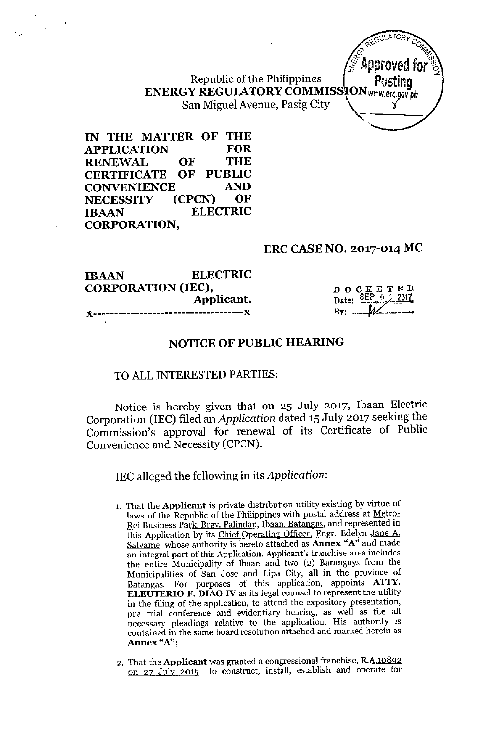Republic of the Philippines ENERGY REGULATORY COMMISSION WWW.erc. San Miguel Avenue, Pasig City *i*

IN THE MATTER OF THE APPLICATION FOR RENEWAL OF THE<br>CERTIFICATE OF PUBLIC CERTIFICATE OF PUBLIC<br>CONVENIENCE AND CONVENIENCE<br>NECESSITY (CPCN) NECESSITY (CPCN) OF IBAAN ELECTRIC CORPORATION,

#### ERC CASE NO. 2017-014 MC

| <b>IBAAN</b>              | <b>ELECTRIC</b> |
|---------------------------|-----------------|
| <b>CORPORATION (IEC),</b> |                 |
|                           | Applicant.      |
|                           |                 |

DOCKETED<br>Date: SEP 0 4 2017  $0.4.2017$ n.".: *~.\_--..fttL=---*

**GULATORY**  $4.7$  O  $\mathcal{U}_2$ *-f?* %: *Jf* Approved for '%

## NOTICE OF PUBLIC HEARING

## TO ALL INTERESTED PARTIES:

Notice is hereby given that on 25 July 2017, Ibaan Electric Corporation (IEC) filed an *Application* dated 15 July 2017 seeking the Commission's approval for renewal of its Certificate of Public Convenience and Necessity (CPCN).

IEC alleged the following in its *Application:*

- 1. That the **Applicant** is private distribution utility existing by virtue of laws of the Republic of the Philippines with postal address at Metro-Rei Business Park. Brgy. Palindan. Ibaan, Batangas, and represented in this Application by its Chief Operating Officer, Engr. Edelyn Jane A. Salvame, whose authority is hereto attached as **Annex** "A" and made an integral part of this Application. Applicant's franchise area includes the entire Municipality of Ibaan and two (2) Barangays from the Municipalities of San Jose and Lipa City, all **in** the province of Batangas. For purposes of this application, appoints **A1TY. ELEUTERIO F. DIAO IV** as its legal counsel to represent the utility in the filing of the application, to attend the expository presentation, pre trial conference and evidentiary hearing, as well as file all necessary pleadings relative to the application. His authority is contained in the same board resolution attached and marked herein as **Annex** "A";
- 2. That the **Applicant** was granted a congressional franchise, R.A.108g2 on 27 July 2015 to construct, install, establish and operate for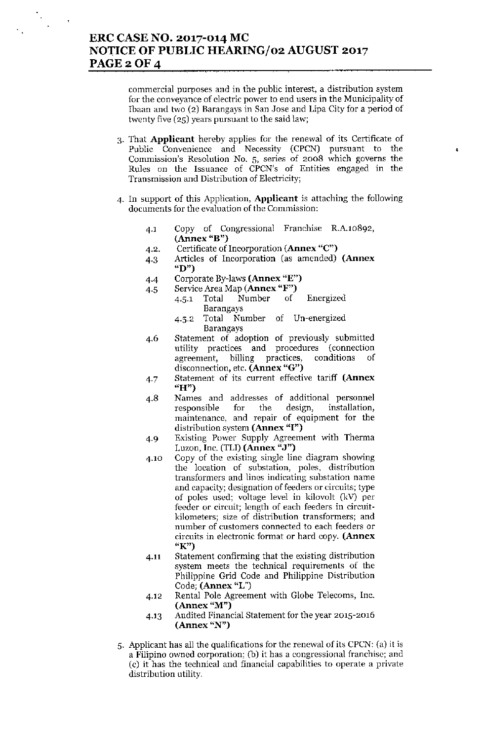commercial purposes and in the public interest, a distribution system for the conveyance of electric power to end users in the Municipality of Ibaan and two (2) Barangays in San Jose and Lipa City for a period of twenty five (25) years pursuant to the said law;

3. That Applicant hereby applies for the renewal of its Certificate of Public Convenience and Necessity (CPCN) pursuant to the Commission's Resolution NO.5, series of 2008 which governs the Rules on the Issuance of CPCN's of Entities engaged in the Transmission and Distribution of Electricity;

 $\epsilon$ 

- 4. In support of this Application, Applicant is attaching the following documents for the evaluation of the Commission:
	- 4.1 Copy of Congressional Franchise R.A.10892, (Annex "B")
	- 4.2. Certificate of Incorporation (Annex "C")
	- 4.3 Articles of Incorporation (as amended) (Annex "D")
	- 4.4 Corporate By-laws (Annex "E")
	- 4.5 Service Area Map (Annex "F")
		- 4.5.1 Total Number of Energized Barangays
			- 4.5.2 Total Number of Un-energized Barangays
	- 4.6 Statement of adoption of previously submitted utility practices and procedures (connection agreement, billing practices, conditions of disconnection, etc. (Annex "G")
	- 4.7 Statement of its current effective tariff (Annex "H")
	- 4.8 Names and addresses of additional personnel responsible for the design, installation, maintenance, and repair of equipment for the distribution system (Annex "I")
	- 4.9 Existing Power Supply Agreement with Therma Luzon, Inc. (TLI) (Annex "J")
	- 4.10 Copy of the existing single line diagram showing the location of substation, poles, distribution transformers and lines indicating substation name and capacity; designation of feeders or circuits; type of poles used; voltage level in kilovolt (kV) pcr feeder or circuit; length of each feeders in circuitkilometers; size of distribution transformers; and number of customers connected to each feeders or circuits in electronic format or hard copy. (Annex "K")
	- 4.11 Statement confirming that the existing distribution system meets the technical requirements of the Philippine Grid Code and Philippine Distribution Code; (Annex "L")
	- 4.12 Rental Pole Agreement with Globe Telecoms, Inc.  $(Annex "M")$
	- 4.13 Audited Financial Statement for the year 2015-2016 (Annex "N")
- 5. Applicant has all the qualifications for the renewal of its CPCN:(a) it is a Filipino owned corporation; (b) it has a congressional franchise; and (c) it has the technical and financial capabilities to operate a private distribution utility.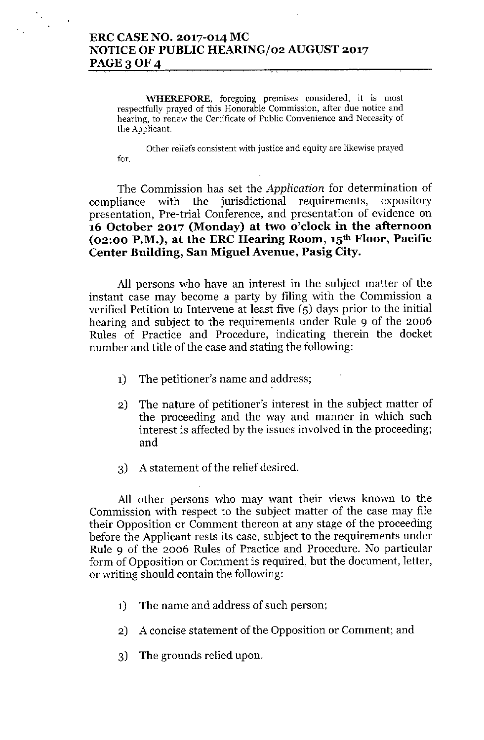# **ERC CASENO. 2017-014 MC NOTICE OF PUBLIC HEARING/02 AUGUST 2017 PAGE30F4**

**'WHEREFORE, foregoing premises considered, it is most respectfully prayed of this Honorable Commission, after due notice and hearing, to renew the Cerlificate of Public Convenience and Necessity of the Applicant.**

**Other reliefs consistent with justice and equity are likewise prayed fOf.**

The Commission has set the *Application* for determination of compliance with the jurisdictional requirements, expository presentation, Pre-trial Conference, and presentation of evidence on **16 October 2017 (Monday) at two o'clock in the afternoon (02:00 P.M.), at the ERC Hearing Room, 15th Floor, Pacific Center Building, San Miguel Avenue, Pasig City.**

All persons who have an interest in the subject matter of the instant case may become a party by filing with the Commission a verified Petition to Intervene at least five (5) days prior to the initial hearing and subject to the requirements under Rule 9 of the 2006 Rules of Practice and Procedure, indicating therein the docket number and title of the case and stating the following:

- 1) The petitioner's name and address;
- 2) The nature of petitioner's interest in the subject matter of the proceeding and the way and manner in which such interest is affected by the issues involved in the proceeding; and
- 3) A statement of the relief desired.

All other persons who may want their views known to the Commission with respect to the subject matter of the case may file their Opposition or Comment thereon at any stage of the proceeding before the Applicant rests its case, subject to the requirements under Rule 9 of the 2006 Rules of Practice and Procedure. No particular form of Opposition or Comment is required, but the document, letter, or writing should contain the following:

- 1) The name and address of such person;
- 2) A concise statement of the Opposition or Comment; and
- 3) The grounds relied upon.